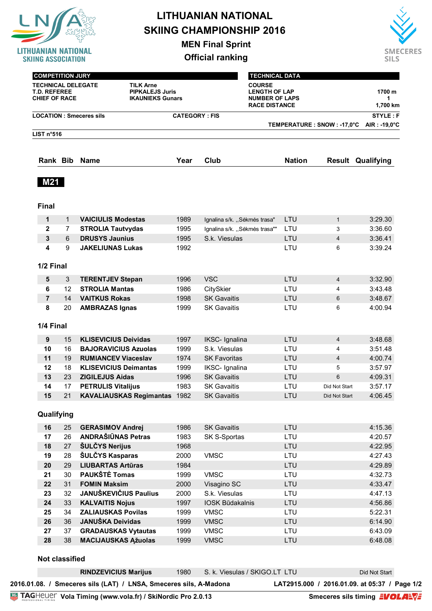

**MEN Final Sprint**

**Official ranking**



| <b>COMPETITION JURY</b>                                                                                                                           |                |                                |                      |                                                                                        | <b>TECHNICAL DATA</b>        |                |                                          |  |
|---------------------------------------------------------------------------------------------------------------------------------------------------|----------------|--------------------------------|----------------------|----------------------------------------------------------------------------------------|------------------------------|----------------|------------------------------------------|--|
| <b>TECHNICAL DELEGATE</b><br><b>TILK Arne</b><br><b>T.D. REFEREE</b><br><b>PIPKALEJS Juris</b><br><b>CHIEF OF RACE</b><br><b>IKAUNIEKS Gunars</b> |                |                                |                      | <b>COURSE</b><br><b>LENGTH OF LAP</b><br><b>NUMBER OF LAPS</b><br><b>RACE DISTANCE</b> |                              |                |                                          |  |
|                                                                                                                                                   |                | <b>LOCATION: Smeceres sils</b> | <b>CATEGORY: FIS</b> |                                                                                        | TEMPERATURE : SNOW : -17,0°C |                | <b>STYLE: F</b><br>$AIR: -19.0^{\circ}C$ |  |
| LIST n <sup>°</sup> 516                                                                                                                           |                |                                |                      |                                                                                        |                              |                |                                          |  |
|                                                                                                                                                   |                |                                |                      |                                                                                        |                              |                |                                          |  |
| Rank Bib                                                                                                                                          |                | <b>Name</b>                    | Year                 | Club                                                                                   | <b>Nation</b>                |                | <b>Result Qualifying</b>                 |  |
| <b>M21</b><br><b>Final</b>                                                                                                                        |                |                                |                      |                                                                                        |                              |                |                                          |  |
| 1                                                                                                                                                 | $\mathbf{1}$   | <b>VAICIULIS Modestas</b>      | 1989                 | Ignalina s/k. "Sėkmės trasa"                                                           | LTU                          | $\mathbf{1}$   | 3:29.30                                  |  |
| $\mathbf{2}$                                                                                                                                      | 7              | <b>STROLIA Tautvydas</b>       | 1995                 | Ignalina s/k. "Sėkmės trasa""                                                          | LTU                          | 3              | 3:36.60                                  |  |
| 3                                                                                                                                                 | $6\phantom{1}$ | <b>DRUSYS Jaunius</b>          | 1995                 | S.k. Viesulas                                                                          | LTU                          | 4              | 3:36.41                                  |  |
| 4                                                                                                                                                 | 9              | <b>JAKELIUNAS Lukas</b>        | 1992                 |                                                                                        | LTU                          | 6              | 3:39.24                                  |  |
|                                                                                                                                                   |                |                                |                      |                                                                                        |                              |                |                                          |  |
| 1/2 Final                                                                                                                                         |                |                                |                      |                                                                                        |                              |                |                                          |  |
| 5                                                                                                                                                 | 3              | <b>TERENTJEV Stepan</b>        | 1996                 | <b>VSC</b>                                                                             | LTU                          | 4              | 3:32.90                                  |  |
| 6                                                                                                                                                 | 12             | <b>STROLIA Mantas</b>          | 1986                 | CitySkier                                                                              | LTU                          | 4              | 3:43.48                                  |  |
| $\overline{7}$                                                                                                                                    | 14             | <b>VAITKUS Rokas</b>           | 1998                 | <b>SK Gavaitis</b>                                                                     | LTU                          | 6              | 3:48.67                                  |  |
| 8                                                                                                                                                 | 20             | <b>AMBRAZAS Ignas</b>          | 1999                 | <b>SK Gavaitis</b>                                                                     | LTU                          | 6              | 4:00.94                                  |  |
| 1/4 Final                                                                                                                                         |                |                                |                      |                                                                                        |                              |                |                                          |  |
| 9                                                                                                                                                 | 15             | <b>KLISEVICIUS Deividas</b>    | 1997                 | IKSC- Ignalina                                                                         | LTU                          | $\overline{4}$ | 3:48.68                                  |  |
| 10                                                                                                                                                | 16             | <b>BAJORAVICIUS Azuolas</b>    | 1999                 | S.k. Viesulas                                                                          | LTU                          | 4              | 3:51.48                                  |  |
| 11                                                                                                                                                | 19             | <b>RUMIANCEV Viaceslav</b>     | 1974                 | <b>SK Favoritas</b>                                                                    | LTU                          | 4              | 4:00.74                                  |  |
| 12                                                                                                                                                | 18             | <b>KLISEVICIUS Deimantas</b>   | 1999                 | IKSC- Ignalina                                                                         | LTU                          | 5              | 3:57.97                                  |  |
| 13                                                                                                                                                | 23             | <b>ZIGILEJUS Aidas</b>         | 1996                 | <b>SK Gavaitis</b>                                                                     | LTU                          | 6              | 4:09.31                                  |  |
| 14                                                                                                                                                | 17             | <b>PETRULIS Vitalijus</b>      | 1983                 | <b>SK Gavaitis</b>                                                                     | LTU                          | Did Not Start  | 3:57.17                                  |  |
| 15                                                                                                                                                | 21             | KAVALIAUSKAS Regimantas 1982   |                      | <b>SK Gavaitis</b>                                                                     | LTU                          | Did Not Start  | 4:06.45                                  |  |
| Qualifying                                                                                                                                        |                |                                |                      |                                                                                        |                              |                |                                          |  |
| 16                                                                                                                                                | 25             | <b>GERASIMOV Andrej</b>        | 1986                 | <b>SK Gavaitis</b>                                                                     | LTU                          |                | 4:15.36                                  |  |
| 17                                                                                                                                                | 26             | <b>ANDRAŠIŪNAS Petras</b>      | 1983                 | SK S-Sportas                                                                           | LTU                          |                | 4:20.57                                  |  |
| 18                                                                                                                                                | 27             | <b>ŠULČYS Nerijus</b>          | 1968                 |                                                                                        | LTU                          |                | 4:22.95                                  |  |
| 19                                                                                                                                                | 28             | ŠULČYS Kasparas                | 2000                 | <b>VMSC</b>                                                                            | LTU                          |                | 4:27.43                                  |  |
| 20                                                                                                                                                | 29             | <b>LIUBARTAS Artūras</b>       | 1984                 |                                                                                        | LTU                          |                | 4:29.89                                  |  |
| 21                                                                                                                                                | 30             | PAUKŠTĖ Tomas                  | 1999                 | <b>VMSC</b>                                                                            | LTU                          |                | 4:32.73                                  |  |
| 22                                                                                                                                                | 31             | <b>FOMIN Maksim</b>            | 2000                 | Visagino SC                                                                            | LTU                          |                | 4:33.47                                  |  |
| 23                                                                                                                                                | 32             | <b>JANUŠKEVIČIUS Paulius</b>   | 2000                 | S.k. Viesulas                                                                          | LTU                          |                | 4:47.13                                  |  |
| 24                                                                                                                                                | 33             | <b>KALVAITIS Nojus</b>         | 1997                 | IOSK Būdakalnis                                                                        | LTU                          |                | 4:56.86                                  |  |
| 25                                                                                                                                                | 34             | <b>ZALIAUSKAS Povilas</b>      | 1999                 | <b>VMSC</b>                                                                            | LTU                          |                | 5:22.31                                  |  |
| 26                                                                                                                                                | 36             | JANUŠKA Deividas               | 1999                 | <b>VMSC</b>                                                                            | LTU                          |                | 6:14.90                                  |  |
| 27                                                                                                                                                | 37             | <b>GRADAUSKAS Vytautas</b>     | 1999                 | <b>VMSC</b>                                                                            | LTU                          |                | 6:43.09                                  |  |
| 28                                                                                                                                                | 38             | <b>MACIJAUSKAS Ąžuolas</b>     | 1999                 | <b>VMSC</b>                                                                            | LTU                          |                | 6:48.08                                  |  |

#### **Not classified**

| <b>TAGHEUEF Vola Timing (www.vola.fr) / SkiNordic Pro 2.0.13</b>  |      |                               | Smeceres sils timing <b>EVOLAEVE</b>          |  |
|-------------------------------------------------------------------|------|-------------------------------|-----------------------------------------------|--|
| 2016.01.08. / Smeceres sils (LAT) / LNSA, Smeceres sils, A-Madona |      |                               | LAT2915.000 / 2016.01.09. at 05:37 / Page 1/2 |  |
| <b>RINDZEVICIUS Marijus</b>                                       | 1980 | S. k. Viesulas / SKIGO.LT LTU | Did Not Start                                 |  |
|                                                                   |      |                               |                                               |  |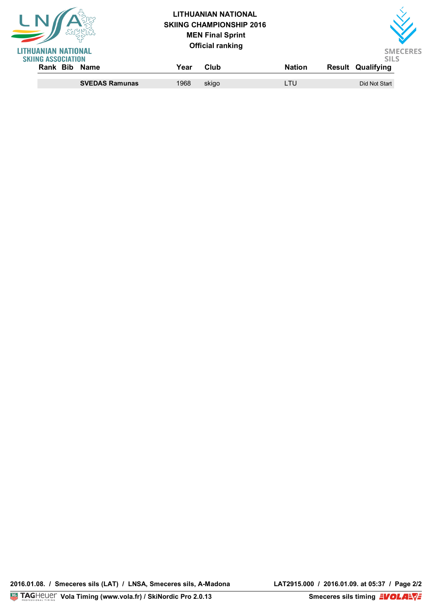| UANIAN NATIONAL                               |      | <b>LITHUANIAN NATIONAL</b><br><b>SKIING CHAMPIONSHIP 2016</b><br><b>MEN Final Sprint</b><br><b>Official ranking</b> |               | <b>SMECERES</b>                         |  |
|-----------------------------------------------|------|---------------------------------------------------------------------------------------------------------------------|---------------|-----------------------------------------|--|
| <b>SKIING ASSOCIATION</b><br>Rank Bib<br>Name | Year | Club                                                                                                                | <b>Nation</b> | <b>SILS</b><br><b>Result Qualifying</b> |  |
| <b>SVEDAS Ramunas</b>                         | 1968 | skigo                                                                                                               | LTU           | Did Not Start                           |  |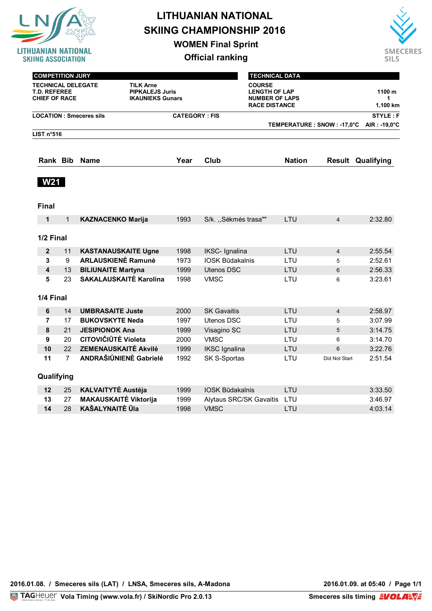

**WOMEN Final Sprint**



| <b>COMPETITION JURY</b>                                                                                                                           |                |                                |                      |                                                                                        | <b>TECHNICAL DATA</b>        |                |                          |  |
|---------------------------------------------------------------------------------------------------------------------------------------------------|----------------|--------------------------------|----------------------|----------------------------------------------------------------------------------------|------------------------------|----------------|--------------------------|--|
| <b>TECHNICAL DELEGATE</b><br><b>TILK Arne</b><br><b>PIPKALEJS Juris</b><br><b>T.D. REFEREE</b><br><b>CHIEF OF RACE</b><br><b>IKAUNIEKS Gunars</b> |                |                                |                      | <b>COURSE</b><br><b>LENGTH OF LAP</b><br><b>NUMBER OF LAPS</b><br><b>RACE DISTANCE</b> |                              |                |                          |  |
|                                                                                                                                                   |                | <b>LOCATION: Smeceres sils</b> | <b>CATEGORY: FIS</b> |                                                                                        |                              |                | <b>STYLE: F</b>          |  |
|                                                                                                                                                   |                |                                |                      |                                                                                        | TEMPERATURE : SNOW : -17,0°C |                | $AIR: -19.0^{\circ}C$    |  |
| LIST n°516                                                                                                                                        |                |                                |                      |                                                                                        |                              |                |                          |  |
| Rank Bib                                                                                                                                          |                | <b>Name</b>                    | Year                 | Club                                                                                   | <b>Nation</b>                |                | <b>Result Qualifying</b> |  |
| <b>W21</b>                                                                                                                                        |                |                                |                      |                                                                                        |                              |                |                          |  |
| <b>Final</b>                                                                                                                                      |                |                                |                      |                                                                                        |                              |                |                          |  |
| $\mathbf{1}$                                                                                                                                      | $\mathbf{1}$   | <b>KAZNACENKO Marija</b>       | 1993                 | S/k. "Sėkmės trasa""                                                                   | LTU                          | $\overline{4}$ | 2:32.80                  |  |
| 1/2 Final                                                                                                                                         |                |                                |                      |                                                                                        |                              |                |                          |  |
| $\mathbf{2}$                                                                                                                                      | 11             | <b>KASTANAUSKAITE Ugne</b>     | 1998                 | IKSC- Ignalina                                                                         | LTU                          | $\overline{4}$ | 2:55.54                  |  |
| 3                                                                                                                                                 | 9              | <b>ARLAUSKIENE Ramunė</b>      | 1973                 | <b>IOSK Būdakalnis</b>                                                                 | LTU                          | 5              | 2:52.61                  |  |
| 4                                                                                                                                                 | 13             | <b>BILIUNAITE Martyna</b>      | 1999                 | <b>Utenos DSC</b>                                                                      | LTU                          | 6              | 2:56.33                  |  |
| 5                                                                                                                                                 | 23             | <b>SAKALAUSKAITE Karolina</b>  | 1998                 | <b>VMSC</b>                                                                            | LTU                          | 6              | 3:23.61                  |  |
| 1/4 Final                                                                                                                                         |                |                                |                      |                                                                                        |                              |                |                          |  |
| 6                                                                                                                                                 | 14             | <b>UMBRASAITE Juste</b>        | 2000                 | <b>SK Gavaitis</b>                                                                     | LTU                          | $\overline{4}$ | 2:58.97                  |  |
| $\overline{7}$                                                                                                                                    | 17             | <b>BUKOVSKYTE Neda</b>         | 1997                 | <b>Utenos DSC</b>                                                                      | LTU                          | 5              | 3:07.99                  |  |
| 8                                                                                                                                                 | 21             | <b>JESIPIONOK Ana</b>          | 1999                 | Visagino SC                                                                            | LTU                          | 5              | 3:14.75                  |  |
| 9                                                                                                                                                 | 20             | <b>CITOVIČIŪTĖ Violeta</b>     | 2000                 | <b>VMSC</b>                                                                            | LTU                          | 6              | 3:14.70                  |  |
| 10                                                                                                                                                | 22             | <b>ZEMENAUSKAITĖ Akvilė</b>    | 1999                 | <b>IKSC</b> Ignalina                                                                   | LTU                          | $6\phantom{1}$ | 3:22.76                  |  |
| 11                                                                                                                                                | $\overline{7}$ | ANDRAŠIŪNIENĖ Gabrielė         | 1992                 | SK S-Sportas                                                                           | LTU                          | Did Not Start  | 2:51.54                  |  |
| Qualifying                                                                                                                                        |                |                                |                      |                                                                                        |                              |                |                          |  |
| 12                                                                                                                                                | 25             | <b>KALVAITYTĖ Austėja</b>      | 1999                 | <b>IOSK Būdakalnis</b>                                                                 | LTU                          |                | 3:33.50                  |  |
| 13                                                                                                                                                | 27             | <b>MAKAUSKAITĖ Viktorija</b>   | 1999                 | Alytaus SRC/SK Gavaitis                                                                | LTU                          |                | 3:46.97                  |  |
| 14                                                                                                                                                | 28             | <b>KAŠALYNAITĖ Ūla</b>         | 1998                 | <b>VMSC</b>                                                                            | LTU                          |                | 4:03.14                  |  |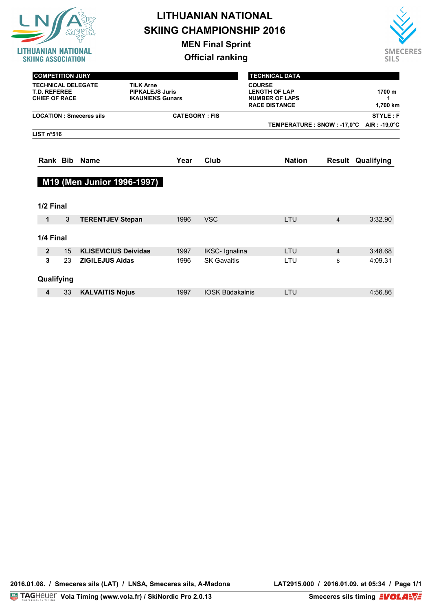

**MEN Final Sprint**



| <b>COMPETITION JURY</b>                                                  |    |                                                                       |                                                                       |                         | <b>TECHNICAL DATA</b>        |                |                          |  |  |
|--------------------------------------------------------------------------|----|-----------------------------------------------------------------------|-----------------------------------------------------------------------|-------------------------|------------------------------|----------------|--------------------------|--|--|
| <b>TECHNICAL DELEGATE</b><br><b>T.D. REFEREE</b><br><b>CHIEF OF RACE</b> |    | <b>TILK Arne</b><br><b>PIPKALEJS Juris</b><br><b>IKAUNIEKS Gunars</b> | <b>LENGTH OF LAP</b><br><b>NUMBER OF LAPS</b><br><b>RACE DISTANCE</b> | 1700 m<br>1<br>1,700 km |                              |                |                          |  |  |
|                                                                          |    | <b>LOCATION: Smeceres sils</b>                                        | <b>CATEGORY: FIS</b>                                                  |                         |                              |                | <b>STYLE: F</b>          |  |  |
|                                                                          |    |                                                                       |                                                                       |                         | TEMPERATURE : SNOW : -17,0°C |                | AIR: -19,0°C             |  |  |
| LIST n <sup>°</sup> 516                                                  |    |                                                                       |                                                                       |                         |                              |                |                          |  |  |
|                                                                          |    | Rank Bib Name                                                         | Year                                                                  | Club                    | <b>Nation</b>                |                | <b>Result Qualifying</b> |  |  |
| 1/2 Final                                                                |    |                                                                       |                                                                       |                         |                              |                |                          |  |  |
| 1                                                                        | 3  | <b>TERENTJEV Stepan</b>                                               | 1996                                                                  | <b>VSC</b>              | LTU                          | $\overline{4}$ | 3:32.90                  |  |  |
| 1/4 Final                                                                |    |                                                                       |                                                                       |                         |                              |                |                          |  |  |
| $\mathbf{2}$                                                             | 15 | <b>KLISEVICIUS Deividas</b>                                           | 1997                                                                  | IKSC- Ignalina          | LTU                          | $\overline{4}$ | 3:48.68                  |  |  |
| 3                                                                        | 23 | <b>ZIGILEJUS Aidas</b>                                                | 1996                                                                  | <b>SK Gavaitis</b>      | LTU                          | 6              | 4:09.31                  |  |  |
| Qualifying                                                               |    |                                                                       |                                                                       |                         |                              |                |                          |  |  |
| 4                                                                        | 33 | <b>KALVAITIS Nojus</b>                                                | 1997                                                                  | <b>IOSK Būdakalnis</b>  | LTU                          |                | 4:56.86                  |  |  |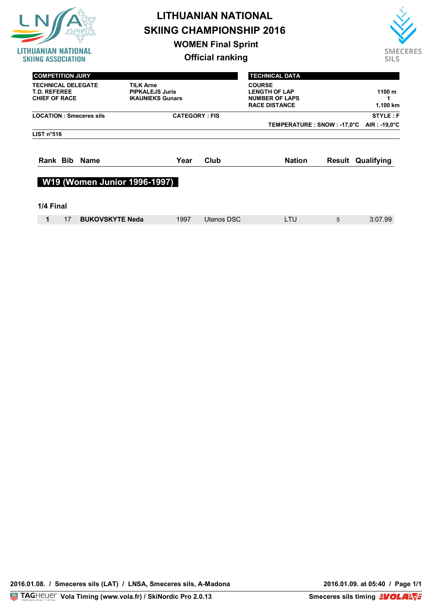

**WOMEN Final Sprint**



| <b>COMPETITION JURY</b><br><b>TECHNICAL DELEGATE</b><br><b>T.D. REFEREE</b><br><b>CHIEF OF RACE</b> | <b>TILK Arne</b><br><b>PIPKALEJS Juris</b><br><b>IKAUNIEKS Gunars</b> |                      |            | <b>TECHNICAL DATA</b><br><b>COURSE</b><br><b>LENGTH OF LAP</b><br><b>NUMBER OF LAPS</b><br><b>RACE DISTANCE</b> |   | 1100 m<br>1,100 km       |
|-----------------------------------------------------------------------------------------------------|-----------------------------------------------------------------------|----------------------|------------|-----------------------------------------------------------------------------------------------------------------|---|--------------------------|
| <b>LOCATION: Smeceres sils</b>                                                                      |                                                                       | <b>CATEGORY: FIS</b> |            |                                                                                                                 |   | STYLE: F                 |
| LIST $n°516$                                                                                        |                                                                       |                      |            | TEMPERATURE : SNOW : -17,0°C                                                                                    |   | $AIR: -19.0^{\circ}C$    |
| Rank Bib Name                                                                                       |                                                                       | Year                 | Club       | <b>Nation</b>                                                                                                   |   | <b>Result Qualifying</b> |
| W19 (Women Junior 1996-1997)                                                                        |                                                                       |                      |            |                                                                                                                 |   |                          |
| 1/4 Final                                                                                           |                                                                       |                      |            |                                                                                                                 |   |                          |
| 17<br><b>BUKOVSKYTE Neda</b><br>1                                                                   |                                                                       | 1997                 | Utenos DSC | LTU                                                                                                             | 5 | 3:07.99                  |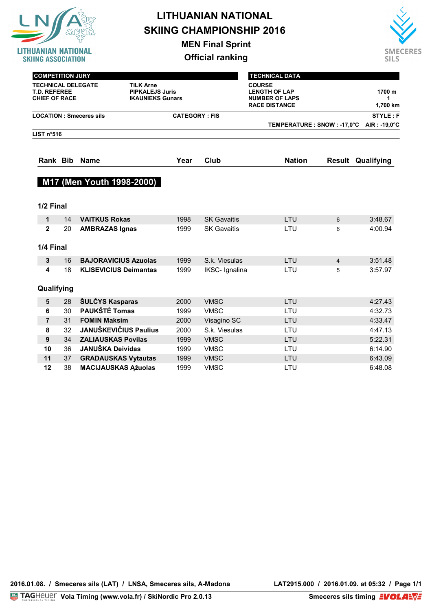

**MEN Final Sprint**

**Official ranking**



| <b>COMPETITION JURY</b>                                                  |    |                                |                                                                       |                      | <b>TECHNICAL DATA</b>                                                                  |                |                          |
|--------------------------------------------------------------------------|----|--------------------------------|-----------------------------------------------------------------------|----------------------|----------------------------------------------------------------------------------------|----------------|--------------------------|
| <b>TECHNICAL DELEGATE</b><br><b>T.D. REFEREE</b><br><b>CHIEF OF RACE</b> |    |                                | <b>TILK Arne</b><br><b>PIPKALEJS Juris</b><br><b>IKAUNIEKS Gunars</b> |                      | <b>COURSE</b><br><b>LENGTH OF LAP</b><br><b>NUMBER OF LAPS</b><br><b>RACE DISTANCE</b> |                | 1700 m<br>1<br>1,700 km  |
|                                                                          |    | <b>LOCATION: Smeceres sils</b> |                                                                       | <b>CATEGORY: FIS</b> |                                                                                        |                | <b>STYLE: F</b>          |
|                                                                          |    |                                |                                                                       |                      | TEMPERATURE : SNOW : -17,0°C                                                           |                | AIR : -19,0°C            |
| LIST n°516                                                               |    |                                |                                                                       |                      |                                                                                        |                |                          |
| Rank Bib                                                                 |    | <b>Name</b>                    | Year                                                                  | Club                 | <b>Nation</b>                                                                          |                | <b>Result Qualifying</b> |
|                                                                          |    | M17 (Men Youth 1998-2000)      |                                                                       |                      |                                                                                        |                |                          |
| 1/2 Final                                                                |    |                                |                                                                       |                      |                                                                                        |                |                          |
| 1                                                                        | 14 | <b>VAITKUS Rokas</b>           | 1998                                                                  | <b>SK Gavaitis</b>   | LTU                                                                                    | 6              | 3:48.67                  |
| $\mathbf{2}$                                                             | 20 | <b>AMBRAZAS Ignas</b>          | 1999                                                                  | <b>SK Gavaitis</b>   | LTU                                                                                    | 6              | 4:00.94                  |
| 1/4 Final                                                                |    |                                |                                                                       |                      |                                                                                        |                |                          |
| 3                                                                        | 16 | <b>BAJORAVICIUS Azuolas</b>    | 1999                                                                  | S.k. Viesulas        | LTU                                                                                    | $\overline{4}$ | 3:51.48                  |
| 4                                                                        | 18 | <b>KLISEVICIUS Deimantas</b>   | 1999                                                                  | IKSC- Ignalina       | LTU                                                                                    | 5              | 3:57.97                  |
| Qualifying                                                               |    |                                |                                                                       |                      |                                                                                        |                |                          |
| 5                                                                        | 28 | ŠULČYS Kasparas                | 2000                                                                  | <b>VMSC</b>          | LTU                                                                                    |                | 4:27.43                  |
| 6                                                                        | 30 | <b>PAUKŠTĖ Tomas</b>           | 1999                                                                  | <b>VMSC</b>          | LTU                                                                                    |                | 4:32.73                  |
| $\overline{7}$                                                           | 31 | <b>FOMIN Maksim</b>            | 2000                                                                  | Visagino SC          | LTU                                                                                    |                | 4:33.47                  |
| 8                                                                        | 32 | <b>JANUŠKEVIČIUS Paulius</b>   | 2000                                                                  | S.k. Viesulas        | LTU                                                                                    |                | 4:47.13                  |
| 9                                                                        | 34 | <b>ZALIAUSKAS Povilas</b>      | 1999                                                                  | <b>VMSC</b>          | LTU                                                                                    |                | 5:22.31                  |
| 10                                                                       | 36 | <b>JANUŠKA Deividas</b>        | 1999                                                                  | <b>VMSC</b>          | LTU                                                                                    |                | 6:14.90                  |
| 11                                                                       | 37 | <b>GRADAUSKAS Vytautas</b>     | 1999                                                                  | <b>VMSC</b>          | LTU                                                                                    |                | 6:43.09                  |

**12** 38 **MACIJAUSKAS Ąžuolas** 1999 VMSC LTU 6:48.08

2016.01.08. / Smeceres sils (LAT) / LNSA, Smeceres sils, A-Madona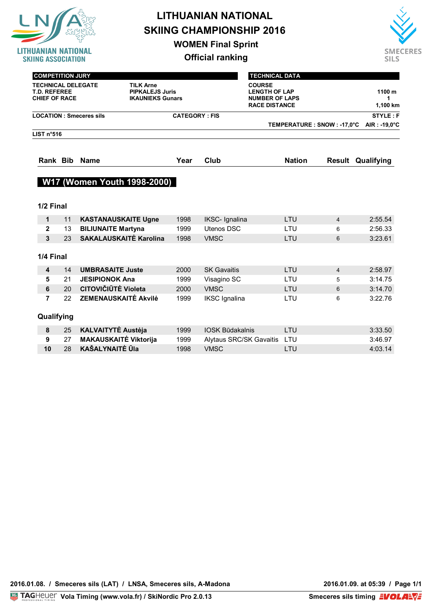

**WOMEN Final Sprint**

**Official ranking**



| <b>COMPETITION JURY</b>                                                  |                                                                       |      | <b>TECHNICAL DATA</b>                                                                  |                          |
|--------------------------------------------------------------------------|-----------------------------------------------------------------------|------|----------------------------------------------------------------------------------------|--------------------------|
| <b>TECHNICAL DELEGATE</b><br><b>T.D. REFEREE</b><br><b>CHIEF OF RACE</b> | <b>TILK Arne</b><br><b>PIPKALEJS Juris</b><br><b>IKAUNIEKS Gunars</b> |      | <b>COURSE</b><br><b>LENGTH OF LAP</b><br><b>NUMBER OF LAPS</b><br><b>RACE DISTANCE</b> | 1100 m<br>1,100 km       |
| <b>LOCATION: Smeceres sils</b>                                           | <b>CATEGORY: FIS</b>                                                  |      |                                                                                        | STYLE: F                 |
|                                                                          |                                                                       |      | TEMPERATURE : SNOW : -17,0°C                                                           | AIR : -19,0 $^{\circ}$ C |
| LIST $n°516$                                                             |                                                                       |      |                                                                                        |                          |
| Rank Bib Name                                                            | Year                                                                  | Club | <b>Nation</b>                                                                          | <b>Result Qualifying</b> |
| W17 (Women Youth 1998-2000)                                              |                                                                       |      |                                                                                        |                          |
|                                                                          |                                                                       |      |                                                                                        |                          |
| 1/2 Final                                                                |                                                                       |      |                                                                                        |                          |
|                                                                          |                                                                       |      |                                                                                        |                          |

| 1            | 11 | <b>KASTANAUSKAITE Ugne</b>    | 1998 | <b>IKSC- Ignalina</b>   | LTU        | $\overline{4}$ | 2:55.54 |
|--------------|----|-------------------------------|------|-------------------------|------------|----------------|---------|
| $\mathbf{2}$ | 13 | <b>BILIUNAITE Martyna</b>     | 1999 | Utenos DSC              | LTU        | 6              | 2:56.33 |
| 3            | 23 | <b>SAKALAUSKAITE Karolina</b> | 1998 | <b>VMSC</b>             | <b>LTU</b> | 6              | 3:23.61 |
| 1/4 Final    |    |                               |      |                         |            |                |         |
| 4            | 14 | <b>UMBRASAITE Juste</b>       | 2000 | <b>SK Gavaitis</b>      | LTU        | $\overline{4}$ | 2:58.97 |
| 5            | 21 | <b>JESIPIONOK Ana</b>         | 1999 | Visagino SC             | LTU        | 5              | 3:14.75 |
| 6            | 20 | <b>CITOVIČIŪTĖ Violeta</b>    | 2000 | <b>VMSC</b>             | LTU        | 6              | 3:14.70 |
| 7            | 22 | <b>ZEMENAUSKAITĖ Akvilė</b>   | 1999 | <b>IKSC</b> Ignalina    | LTU        | 6              | 3:22.76 |
| Qualifying   |    |                               |      |                         |            |                |         |
| 8            | 25 | <b>KALVAITYTĖ Austėja</b>     | 1999 | <b>IOSK Būdakalnis</b>  | LTU        |                | 3:33.50 |
| 9            | 27 | <b>MAKAUSKAITĖ Viktorija</b>  | 1999 | Alytaus SRC/SK Gavaitis | LTU        |                | 3:46.97 |
| 10           | 28 | <b>KAŠALYNAITĖ ŪIa</b>        | 1998 | <b>VMSC</b>             | LTU        |                | 4:03.14 |
|              |    |                               |      |                         |            |                |         |

2016.01.08. / Smeceres sils (LAT) / LNSA, Smeceres sils, A-Madona